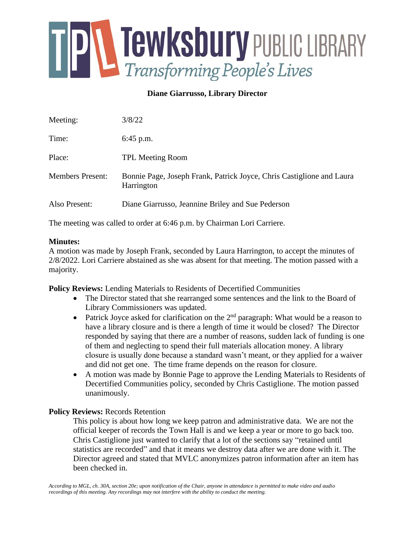

# **Diane Giarrusso, Library Director**

| Meeting:                | 3/8/22                                                                              |
|-------------------------|-------------------------------------------------------------------------------------|
| Time:                   | $6:45$ p.m.                                                                         |
| Place:                  | <b>TPL Meeting Room</b>                                                             |
| <b>Members Present:</b> | Bonnie Page, Joseph Frank, Patrick Joyce, Chris Castiglione and Laura<br>Harrington |
| Also Present:           | Diane Giarrusso, Jeannine Briley and Sue Pederson                                   |

The meeting was called to order at 6:46 p.m. by Chairman Lori Carriere.

### **Minutes:**

A motion was made by Joseph Frank, seconded by Laura Harrington, to accept the minutes of 2/8/2022. Lori Carriere abstained as she was absent for that meeting. The motion passed with a majority.

**Policy Reviews:** Lending Materials to Residents of Decertified Communities

- The Director stated that she rearranged some sentences and the link to the Board of Library Commissioners was updated.
- Patrick Joyce asked for clarification on the  $2<sup>nd</sup>$  paragraph: What would be a reason to have a library closure and is there a length of time it would be closed? The Director responded by saying that there are a number of reasons, sudden lack of funding is one of them and neglecting to spend their full materials allocation money. A library closure is usually done because a standard wasn't meant, or they applied for a waiver and did not get one. The time frame depends on the reason for closure.
- A motion was made by Bonnie Page to approve the Lending Materials to Residents of Decertified Communities policy, seconded by Chris Castiglione. The motion passed unanimously.

### **Policy Reviews:** Records Retention

This policy is about how long we keep patron and administrative data. We are not the official keeper of records the Town Hall is and we keep a year or more to go back too. Chris Castiglione just wanted to clarify that a lot of the sections say "retained until statistics are recorded" and that it means we destroy data after we are done with it. The Director agreed and stated that MVLC anonymizes patron information after an item has been checked in.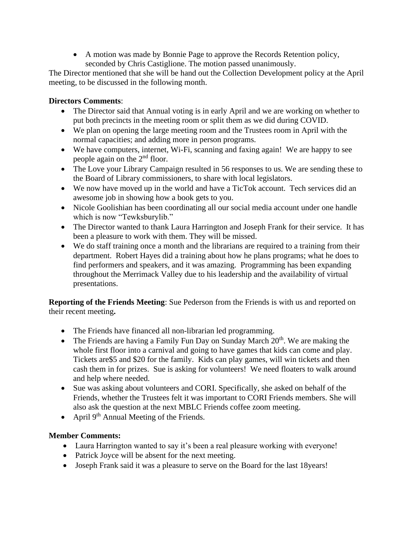• A motion was made by Bonnie Page to approve the Records Retention policy, seconded by Chris Castiglione. The motion passed unanimously.

The Director mentioned that she will be hand out the Collection Development policy at the April meeting, to be discussed in the following month.

# **Directors Comments**:

- The Director said that Annual voting is in early April and we are working on whether to put both precincts in the meeting room or split them as we did during COVID.
- We plan on opening the large meeting room and the Trustees room in April with the normal capacities; and adding more in person programs.
- We have computers, internet, Wi-Fi, scanning and faxing again! We are happy to see people again on the 2nd floor.
- The Love your Library Campaign resulted in 56 responses to us. We are sending these to the Board of Library commissioners, to share with local legislators.
- We now have moved up in the world and have a TicTok account. Tech services did an awesome job in showing how a book gets to you.
- Nicole Goolishian has been coordinating all our social media account under one handle which is now "Tewksburylib."
- The Director wanted to thank Laura Harrington and Joseph Frank for their service. It has been a pleasure to work with them. They will be missed.
- We do staff training once a month and the librarians are required to a training from their department. Robert Hayes did a training about how he plans programs; what he does to find performers and speakers, and it was amazing. Programming has been expanding throughout the Merrimack Valley due to his leadership and the availability of virtual presentations.

**Reporting of the Friends Meeting**: Sue Pederson from the Friends is with us and reported on their recent meeting**.** 

- The Friends have financed all non-librarian led programming.
- The Friends are having a Family Fun Day on Sunday March  $20<sup>th</sup>$ . We are making the whole first floor into a carnival and going to have games that kids can come and play. Tickets are\$5 and \$20 for the family. Kids can play games, will win tickets and then cash them in for prizes. Sue is asking for volunteers! We need floaters to walk around and help where needed.
- Sue was asking about volunteers and CORI. Specifically, she asked on behalf of the Friends, whether the Trustees felt it was important to CORI Friends members. She will also ask the question at the next MBLC Friends coffee zoom meeting.
- April  $9<sup>th</sup>$  Annual Meeting of the Friends.

## **Member Comments:**

- Laura Harrington wanted to say it's been a real pleasure working with everyone!
- Patrick Joyce will be absent for the next meeting.
- Joseph Frank said it was a pleasure to serve on the Board for the last 18years!